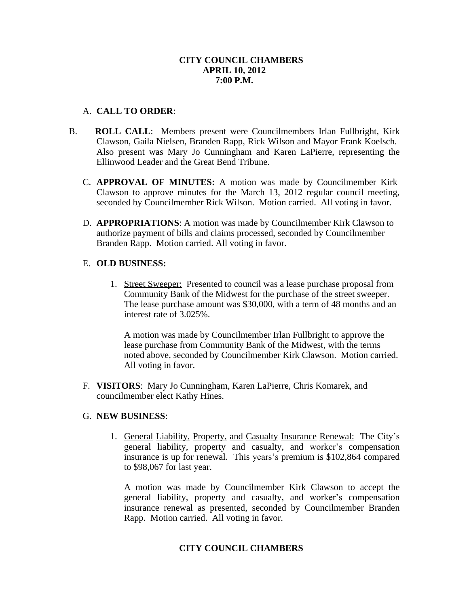## **CITY COUNCIL CHAMBERS APRIL 10, 2012 7:00 P.M.**

## A. **CALL TO ORDER**:

- B. **ROLL CALL**: Members present were Councilmembers Irlan Fullbright, Kirk Clawson, Gaila Nielsen, Branden Rapp, Rick Wilson and Mayor Frank Koelsch. Also present was Mary Jo Cunningham and Karen LaPierre, representing the Ellinwood Leader and the Great Bend Tribune.
	- C. **APPROVAL OF MINUTES:** A motion was made by Councilmember Kirk Clawson to approve minutes for the March 13, 2012 regular council meeting, seconded by Councilmember Rick Wilson. Motion carried. All voting in favor.
	- D. **APPROPRIATIONS**: A motion was made by Councilmember Kirk Clawson to authorize payment of bills and claims processed, seconded by Councilmember Branden Rapp. Motion carried. All voting in favor.

# E. **OLD BUSINESS:**

1. Street Sweeper: Presented to council was a lease purchase proposal from Community Bank of the Midwest for the purchase of the street sweeper. The lease purchase amount was \$30,000, with a term of 48 months and an interest rate of 3.025%.

A motion was made by Councilmember Irlan Fullbright to approve the lease purchase from Community Bank of the Midwest, with the terms noted above, seconded by Councilmember Kirk Clawson. Motion carried. All voting in favor.

F. **VISITORS**: Mary Jo Cunningham, Karen LaPierre, Chris Komarek, and councilmember elect Kathy Hines.

# G. **NEW BUSINESS**:

1. General Liability, Property, and Casualty Insurance Renewal: The City's general liability, property and casualty, and worker's compensation insurance is up for renewal. This years's premium is \$102,864 compared to \$98,067 for last year.

A motion was made by Councilmember Kirk Clawson to accept the general liability, property and casualty, and worker's compensation insurance renewal as presented, seconded by Councilmember Branden Rapp. Motion carried. All voting in favor.

# **CITY COUNCIL CHAMBERS**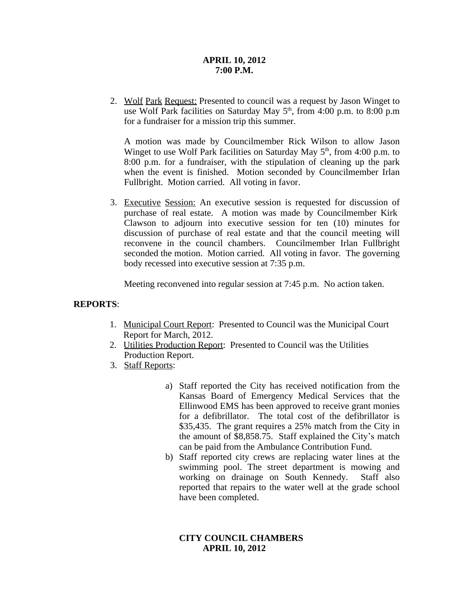## **APRIL 10, 2012 7:00 P.M.**

2. Wolf Park Request: Presented to council was a request by Jason Winget to use Wolf Park facilities on Saturday May 5<sup>th</sup>, from 4:00 p.m. to 8:00 p.m for a fundraiser for a mission trip this summer.

A motion was made by Councilmember Rick Wilson to allow Jason Winget to use Wolf Park facilities on Saturday May 5<sup>th</sup>, from 4:00 p.m. to 8:00 p.m. for a fundraiser, with the stipulation of cleaning up the park when the event is finished. Motion seconded by Councilmember Irlan Fullbright. Motion carried. All voting in favor.

3. Executive Session: An executive session is requested for discussion of purchase of real estate. A motion was made by Councilmember Kirk Clawson to adjourn into executive session for ten (10) minutes for discussion of purchase of real estate and that the council meeting will reconvene in the council chambers. Councilmember Irlan Fullbright seconded the motion. Motion carried. All voting in favor. The governing body recessed into executive session at 7:35 p.m.

Meeting reconvened into regular session at 7:45 p.m. No action taken.

## **REPORTS**:

- 1. Municipal Court Report: Presented to Council was the Municipal Court Report for March, 2012.
- 2. Utilities Production Report: Presented to Council was the Utilities Production Report.
- 3. Staff Reports:
	- a) Staff reported the City has received notification from the Kansas Board of Emergency Medical Services that the Ellinwood EMS has been approved to receive grant monies for a defibrillator. The total cost of the defibrillator is \$35,435. The grant requires a 25% match from the City in the amount of \$8,858.75. Staff explained the City's match can be paid from the Ambulance Contribution Fund.
	- b) Staff reported city crews are replacing water lines at the swimming pool. The street department is mowing and working on drainage on South Kennedy. Staff also reported that repairs to the water well at the grade school have been completed.

# **CITY COUNCIL CHAMBERS APRIL 10, 2012**